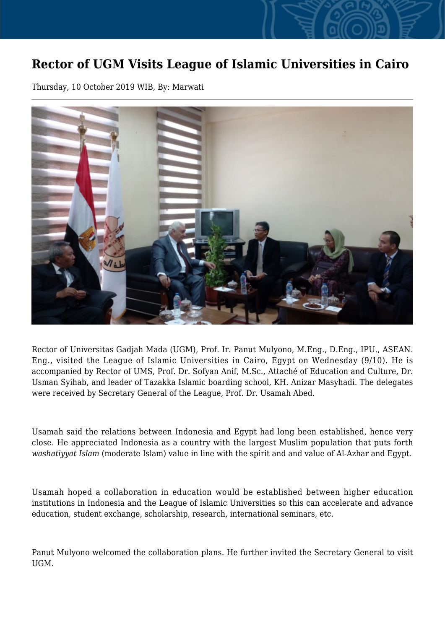## **Rector of UGM Visits League of Islamic Universities in Cairo**

Thursday, 10 October 2019 WIB, By: Marwati



Rector of Universitas Gadjah Mada (UGM), Prof. Ir. Panut Mulyono, M.Eng., D.Eng., IPU., ASEAN. Eng., visited the League of Islamic Universities in Cairo, Egypt on Wednesday (9/10). He is accompanied by Rector of UMS, Prof. Dr. Sofyan Anif, M.Sc., Attaché of Education and Culture, Dr. Usman Syihab, and leader of Tazakka Islamic boarding school, KH. Anizar Masyhadi. The delegates were received by Secretary General of the League, Prof. Dr. Usamah Abed.

Usamah said the relations between Indonesia and Egypt had long been established, hence very close. He appreciated Indonesia as a country with the largest Muslim population that puts forth *washatiyyat Islam* (moderate Islam) value in line with the spirit and and value of Al-Azhar and Egypt.

Usamah hoped a collaboration in education would be established between higher education institutions in Indonesia and the League of Islamic Universities so this can accelerate and advance education, student exchange, scholarship, research, international seminars, etc.

Panut Mulyono welcomed the collaboration plans. He further invited the Secretary General to visit UGM.